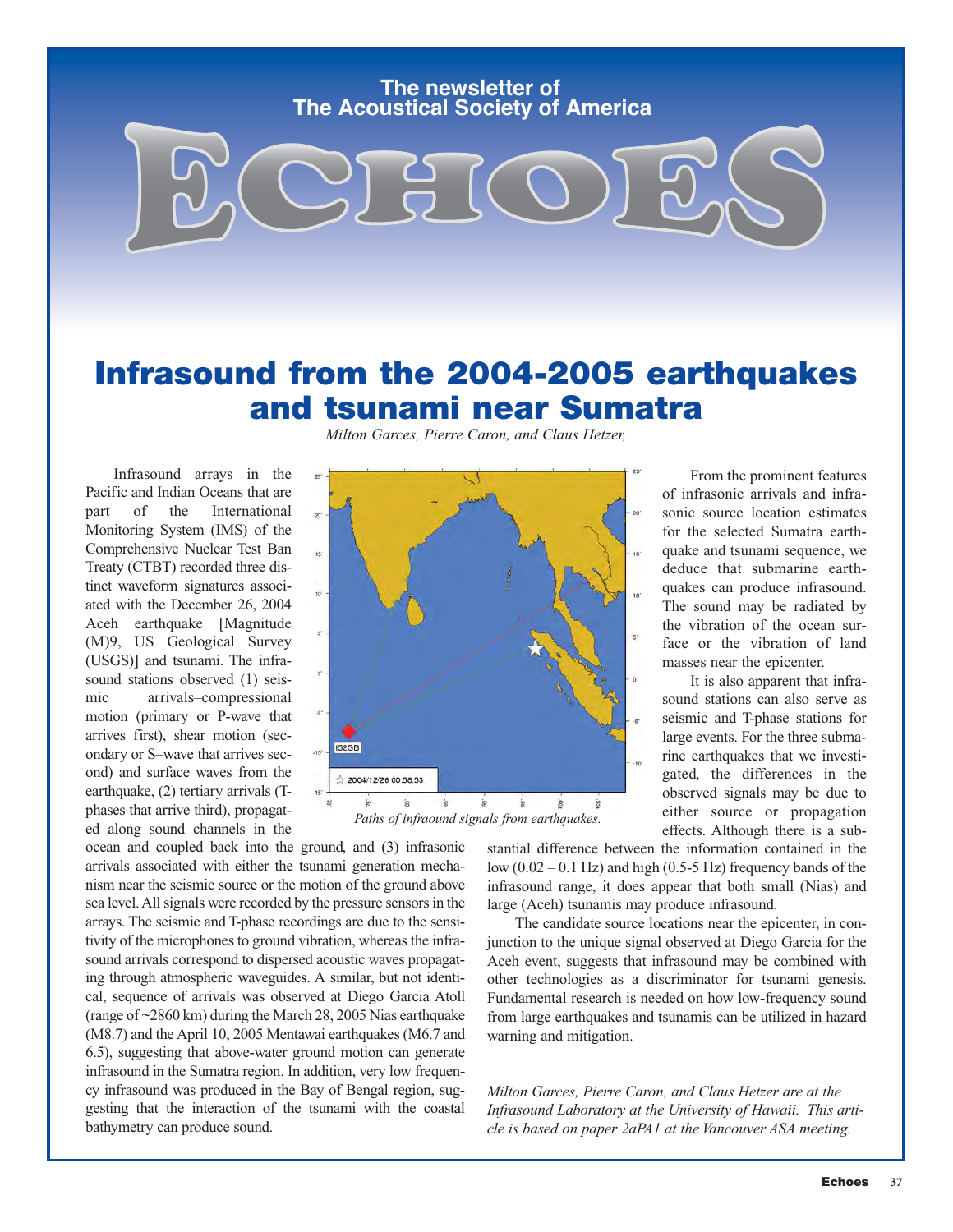### **The Acoustical Society of America The newsletter of**

### **Infrasound from the 2004-2005 earthquakes and tsunami near Sumatra**

Infrasound arrays in the Pacific and Indian Oceans that are part of the International Monitoring System (IMS) of the Comprehensive Nuclear Test Ban Treaty (CTBT) recorded three distinct waveform signatures associated with the December 26, 2004 Aceh earthquake [Magnitude (M)9, US Geological Survey (USGS)] and tsunami. The infrasound stations observed (1) seismic arrivals–compressional motion (primary or P-wave that arrives first), shear motion (secondary or S–wave that arrives second) and surface waves from the earthquake, (2) tertiary arrivals (Tphases that arrive third), propagated along sound channels in the

*Milton Garces, Pierre Caron, and Claus Hetzer,*



ocean and coupled back into the ground, and (3) infrasonic arrivals associated with either the tsunami generation mechanism near the seismic source or the motion of the ground above sea level. All signals were recorded by the pressure sensors in the arrays. The seismic and T-phase recordings are due to the sensitivity of the microphones to ground vibration, whereas the infrasound arrivals correspond to dispersed acoustic waves propagating through atmospheric waveguides. A similar, but not identical, sequence of arrivals was observed at Diego Garcia Atoll (range of ~2860 km) during the March 28, 2005 Nias earthquake (M8.7) and the April 10, 2005 Mentawai earthquakes (M6.7 and 6.5), suggesting that above-water ground motion can generate infrasound in the Sumatra region. In addition, very low frequency infrasound was produced in the Bay of Bengal region, suggesting that the interaction of the tsunami with the coastal bathymetry can produce sound.

stantial difference between the information contained in the low  $(0.02 - 0.1 \text{ Hz})$  and high  $(0.5 - 5 \text{ Hz})$  frequency bands of the infrasound range, it does appear that both small (Nias) and large (Aceh) tsunamis may produce infrasound.

The candidate source locations near the epicenter, in conjunction to the unique signal observed at Diego Garcia for the Aceh event, suggests that infrasound may be combined with other technologies as a discriminator for tsunami genesis. Fundamental research is needed on how low-frequency sound from large earthquakes and tsunamis can be utilized in hazard warning and mitigation.

*Milton Garces, Pierre Caron, and Claus Hetzer are at the Infrasound Laboratory at the University of Hawaii. This article is based on paper 2aPA1 at the Vancouver ASA meeting.*

From the prominent features of infrasonic arrivals and infrasonic source location estimates for the selected Sumatra earthquake and tsunami sequence, we deduce that submarine earthquakes can produce infrasound. The sound may be radiated by the vibration of the ocean surface or the vibration of land masses near the epicenter.

It is also apparent that infrasound stations can also serve as seismic and T-phase stations for large events. For the three submarine earthquakes that we investigated, the differences in the observed signals may be due to either source or propagation effects. Although there is a sub-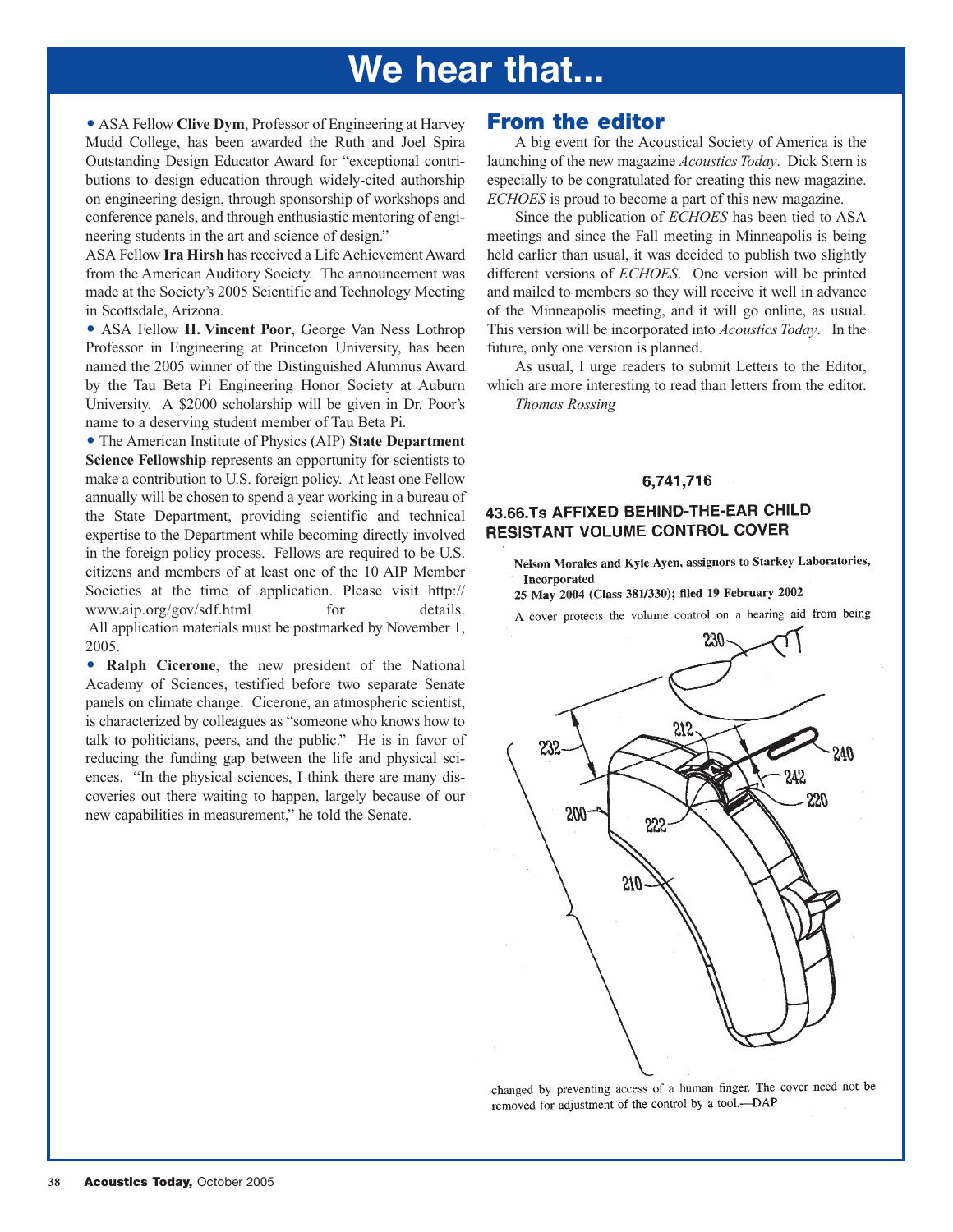# **We hear that...**

**• ASA Fellow Clive Dym, Professor of Engineering at Harvey** Mudd College, has been awarded the Ruth and Joel Spira Outstanding Design Educator Award for "exceptional contributions to design education through widely-cited authorship on engineering design, through sponsorship of workshops and conference panels, and through enthusiastic mentoring of engineering students in the art and science of design."

ASA Fellow **Ira Hirsh** has received a Life Achievement Award from the American Auditory Society. The announcement was made at the Society's 2005 Scientific and Technology Meeting in Scottsdale, Arizona.

- ASA Fellow **H. Vincent Poor**, George Van Ness Lothrop Professor in Engineering at Princeton University, has been named the 2005 winner of the Distinguished Alumnus Award by the Tau Beta Pi Engineering Honor Society at Auburn University. A \$2000 scholarship will be given in Dr. Poor's name to a deserving student member of Tau Beta Pi.

- The American Institute of Physics (AIP) **State Department Science Fellowship** represents an opportunity for scientists to make a contribution to U.S. foreign policy. At least one Fellow annually will be chosen to spend a year working in a bureau of the State Department, providing scientific and technical expertise to the Department while becoming directly involved in the foreign policy process. Fellows are required to be U.S. citizens and members of at least one of the 10 AIP Member Societies at the time of application. Please visit [http://](http://www.aip.org/gov/sdf.html) [www.aip.org/gov/sdf.html](http://www.aip.org/gov/sdf.html) for details. All application materials must be postmarked by November 1, 2005.

 $\bullet$  **Ralph Cicerone**, the new president of the National Academy of Sciences, testified before two separate Senate panels on climate change. Cicerone, an atmospheric scientist, is characterized by colleagues as "someone who knows how to talk to politicians, peers, and the public." He is in favor of reducing the funding gap between the life and physical sciences. "In the physical sciences, I think there are many discoveries out there waiting to happen, largely because of our new capabilities in measurement," he told the Senate.

### **From the editor**

A big event for the Acoustical Society of America is the launching of the new magazine *Acoustics Today*. Dick Stern is especially to be congratulated for creating this new magazine. *ECHOES* is proud to become a part of this new magazine.

Since the publication of *ECHOES* has been tied to ASA meetings and since the Fall meeting in Minneapolis is being held earlier than usual, it was decided to publish two slightly different versions of *ECHOES*. One version will be printed and mailed to members so they will receive it well in advance of the Minneapolis meeting, and it will go online, as usual. This version will be incorporated into *Acoustics Today*. In the future, only one version is planned.

As usual, I urge readers to submit Letters to the Editor, which are more interesting to read than letters from the editor. *Thomas Rossing*

#### 6,741,716

### 43.66.Ts AFFIXED BEHIND-THE-EAR CHILD **RESISTANT VOLUME CONTROL COVER**

Nelson Morales and Kyle Ayen, assignors to Starkey Laboratories, **Incornorated** 

25 May 2004 (Class 381/330); filed 19 February 2002

A cover protects the volume control on a hearing aid from being



changed by preventing access of a human finger. The cover need not be removed for adjustment of the control by a tool.--DAP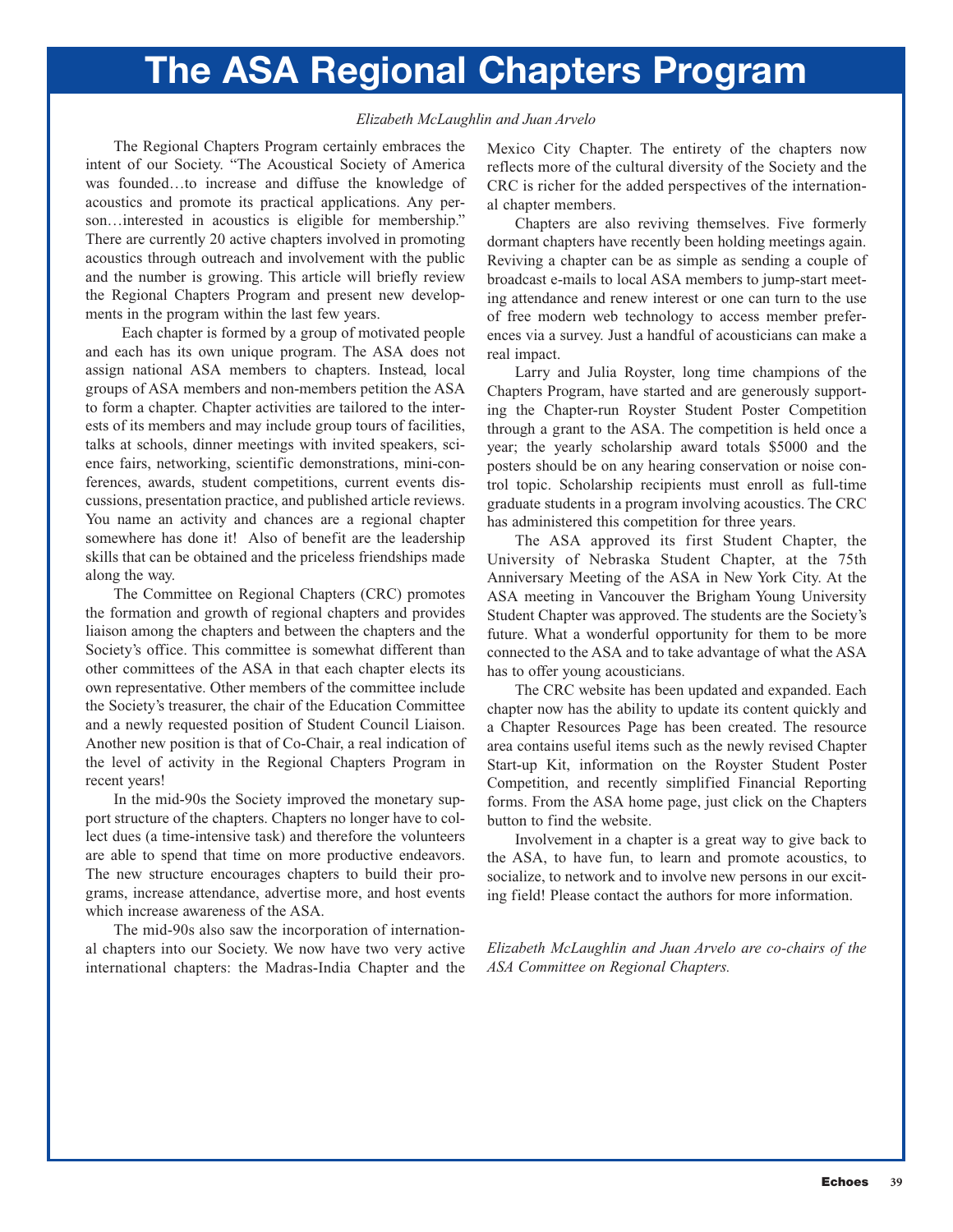# **The ASA Regional Chapters Program**

#### *Elizabeth McLaughlin and Juan Arvelo*

The Regional Chapters Program certainly embraces the intent of our Society. "The Acoustical Society of America was founded…to increase and diffuse the knowledge of acoustics and promote its practical applications. Any person... interested in acoustics is eligible for membership." There are currently 20 active chapters involved in promoting acoustics through outreach and involvement with the public and the number is growing. This article will briefly review the Regional Chapters Program and present new developments in the program within the last few years.

Each chapter is formed by a group of motivated people and each has its own unique program. The ASA does not assign national ASA members to chapters. Instead, local groups of ASA members and non-members petition the ASA to form a chapter. Chapter activities are tailored to the interests of its members and may include group tours of facilities, talks at schools, dinner meetings with invited speakers, science fairs, networking, scientific demonstrations, mini-conferences, awards, student competitions, current events discussions, presentation practice, and published article reviews. You name an activity and chances are a regional chapter somewhere has done it! Also of benefit are the leadership skills that can be obtained and the priceless friendships made along the way.

The Committee on Regional Chapters (CRC) promotes the formation and growth of regional chapters and provides liaison among the chapters and between the chapters and the Society's office. This committee is somewhat different than other committees of the ASA in that each chapter elects its own representative. Other members of the committee include the Society's treasurer, the chair of the Education Committee and a newly requested position of Student Council Liaison. Another new position is that of Co-Chair, a real indication of the level of activity in the Regional Chapters Program in recent years!

In the mid-90s the Society improved the monetary support structure of the chapters. Chapters no longer have to collect dues (a time-intensive task) and therefore the volunteers are able to spend that time on more productive endeavors. The new structure encourages chapters to build their programs, increase attendance, advertise more, and host events which increase awareness of the ASA.

The mid-90s also saw the incorporation of international chapters into our Society. We now have two very active international chapters: the Madras-India Chapter and the Mexico City Chapter. The entirety of the chapters now reflects more of the cultural diversity of the Society and the CRC is richer for the added perspectives of the international chapter members.

Chapters are also reviving themselves. Five formerly dormant chapters have recently been holding meetings again. Reviving a chapter can be as simple as sending a couple of broadcast e-mails to local ASA members to jump-start meeting attendance and renew interest or one can turn to the use of free modern web technology to access member preferences via a survey. Just a handful of acousticians can make a real impact.

Larry and Julia Royster, long time champions of the Chapters Program, have started and are generously supporting the Chapter-run Royster Student Poster Competition through a grant to the ASA. The competition is held once a year; the yearly scholarship award totals \$5000 and the posters should be on any hearing conservation or noise control topic. Scholarship recipients must enroll as full-time graduate students in a program involving acoustics. The CRC has administered this competition for three years.

The ASA approved its first Student Chapter, the University of Nebraska Student Chapter, at the 75th Anniversary Meeting of the ASA in New York City. At the ASA meeting in Vancouver the Brigham Young University Student Chapter was approved. The students are the Society's future. What a wonderful opportunity for them to be more connected to the ASA and to take advantage of what the ASA has to offer young acousticians.

The CRC website has been updated and expanded. Each chapter now has the ability to update its content quickly and a Chapter Resources Page has been created. The resource area contains useful items such as the newly revised Chapter Start-up Kit, information on the Royster Student Poster Competition, and recently simplified Financial Reporting forms. From the ASA home page, just click on the Chapters button to find the website.

Involvement in a chapter is a great way to give back to the ASA, to have fun, to learn and promote acoustics, to socialize, to network and to involve new persons in our exciting field! Please contact the authors for more information.

*Elizabeth McLaughlin and Juan Arvelo are co-chairs of the ASA Committee on Regional Chapters.*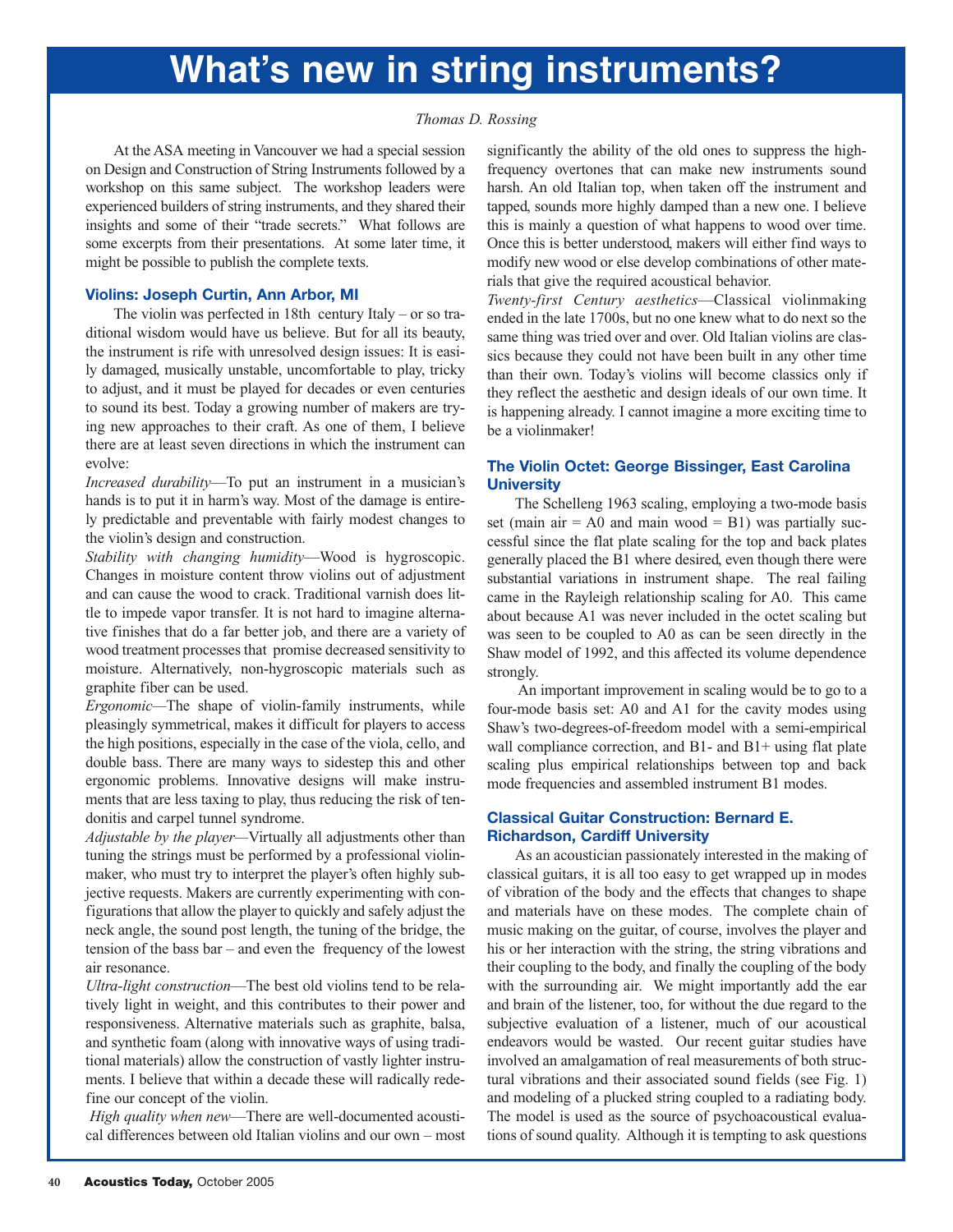#### *Thomas D. Rossing*

At the ASA meeting in Vancouver we had a special session on Design and Construction of String Instruments followed by a workshop on this same subject. The workshop leaders were experienced builders of string instruments, and they shared their insights and some of their "trade secrets." What follows are some excerpts from their presentations. At some later time, it might be possible to publish the complete texts.

#### **Violins: Joseph Curtin, Ann Arbor, MI**

The violin was perfected in 18th century Italy – or so traditional wisdom would have us believe. But for all its beauty, the instrument is rife with unresolved design issues: It is easily damaged, musically unstable, uncomfortable to play, tricky to adjust, and it must be played for decades or even centuries to sound its best. Today a growing number of makers are trying new approaches to their craft. As one of them, I believe there are at least seven directions in which the instrument can evolve:

*Increased durability*—To put an instrument in a musician's hands is to put it in harm's way. Most of the damage is entirely predictable and preventable with fairly modest changes to the violin's design and construction.

*Stability with changing humidity*—Wood is hygroscopic. Changes in moisture content throw violins out of adjustment and can cause the wood to crack. Traditional varnish does little to impede vapor transfer. It is not hard to imagine alternative finishes that do a far better job, and there are a variety of wood treatment processes that promise decreased sensitivity to moisture. Alternatively, non-hygroscopic materials such as graphite fiber can be used.

*Ergonomic—*The shape of violin-family instruments, while pleasingly symmetrical, makes it difficult for players to access the high positions, especially in the case of the viola, cello, and double bass. There are many ways to sidestep this and other ergonomic problems. Innovative designs will make instruments that are less taxing to play, thus reducing the risk of tendonitis and carpel tunnel syndrome.

*Adjustable by the player—*Virtually all adjustments other than tuning the strings must be performed by a professional violinmaker, who must try to interpret the player's often highly subjective requests. Makers are currently experimenting with configurations that allow the player to quickly and safely adjust the neck angle, the sound post length, the tuning of the bridge, the tension of the bass bar – and even the frequency of the lowest air resonance.

*Ultra-light construction*—The best old violins tend to be relatively light in weight, and this contributes to their power and responsiveness. Alternative materials such as graphite, balsa, and synthetic foam (along with innovative ways of using traditional materials) allow the construction of vastly lighter instruments. I believe that within a decade these will radically redefine our concept of the violin.

*High quality when new*—There are well-documented acoustical differences between old Italian violins and our own – most

significantly the ability of the old ones to suppress the highfrequency overtones that can make new instruments sound harsh. An old Italian top, when taken off the instrument and tapped, sounds more highly damped than a new one. I believe this is mainly a question of what happens to wood over time. Once this is better understood, makers will either find ways to modify new wood or else develop combinations of other materials that give the required acoustical behavior.

*Twenty-first Century aesthetics*—Classical violinmaking ended in the late 1700s, but no one knew what to do next so the same thing was tried over and over. Old Italian violins are classics because they could not have been built in any other time than their own. Today's violins will become classics only if they reflect the aesthetic and design ideals of our own time. It is happening already. I cannot imagine a more exciting time to be a violinmaker!

#### **The Violin Octet: George Bissinger, East Carolina University**

The Schelleng 1963 scaling, employing a two-mode basis set (main air  $= A0$  and main wood  $= B1$ ) was partially successful since the flat plate scaling for the top and back plates generally placed the B1 where desired, even though there were substantial variations in instrument shape. The real failing came in the Rayleigh relationship scaling for A0. This came about because A1 was never included in the octet scaling but was seen to be coupled to A0 as can be seen directly in the Shaw model of 1992, and this affected its volume dependence strongly.

An important improvement in scaling would be to go to a four-mode basis set: A0 and A1 for the cavity modes using Shaw's two-degrees-of-freedom model with a semi-empirical wall compliance correction, and B1- and B1+ using flat plate scaling plus empirical relationships between top and back mode frequencies and assembled instrument B1 modes.

#### **Classical Guitar Construction: Bernard E. Richardson, Cardiff University**

As an acoustician passionately interested in the making of classical guitars, it is all too easy to get wrapped up in modes of vibration of the body and the effects that changes to shape and materials have on these modes. The complete chain of music making on the guitar, of course, involves the player and his or her interaction with the string, the string vibrations and their coupling to the body, and finally the coupling of the body with the surrounding air. We might importantly add the ear and brain of the listener, too, for without the due regard to the subjective evaluation of a listener, much of our acoustical endeavors would be wasted. Our recent guitar studies have involved an amalgamation of real measurements of both structural vibrations and their associated sound fields (see Fig. 1) and modeling of a plucked string coupled to a radiating body. The model is used as the source of psychoacoustical evaluations of sound quality. Although it is tempting to ask questions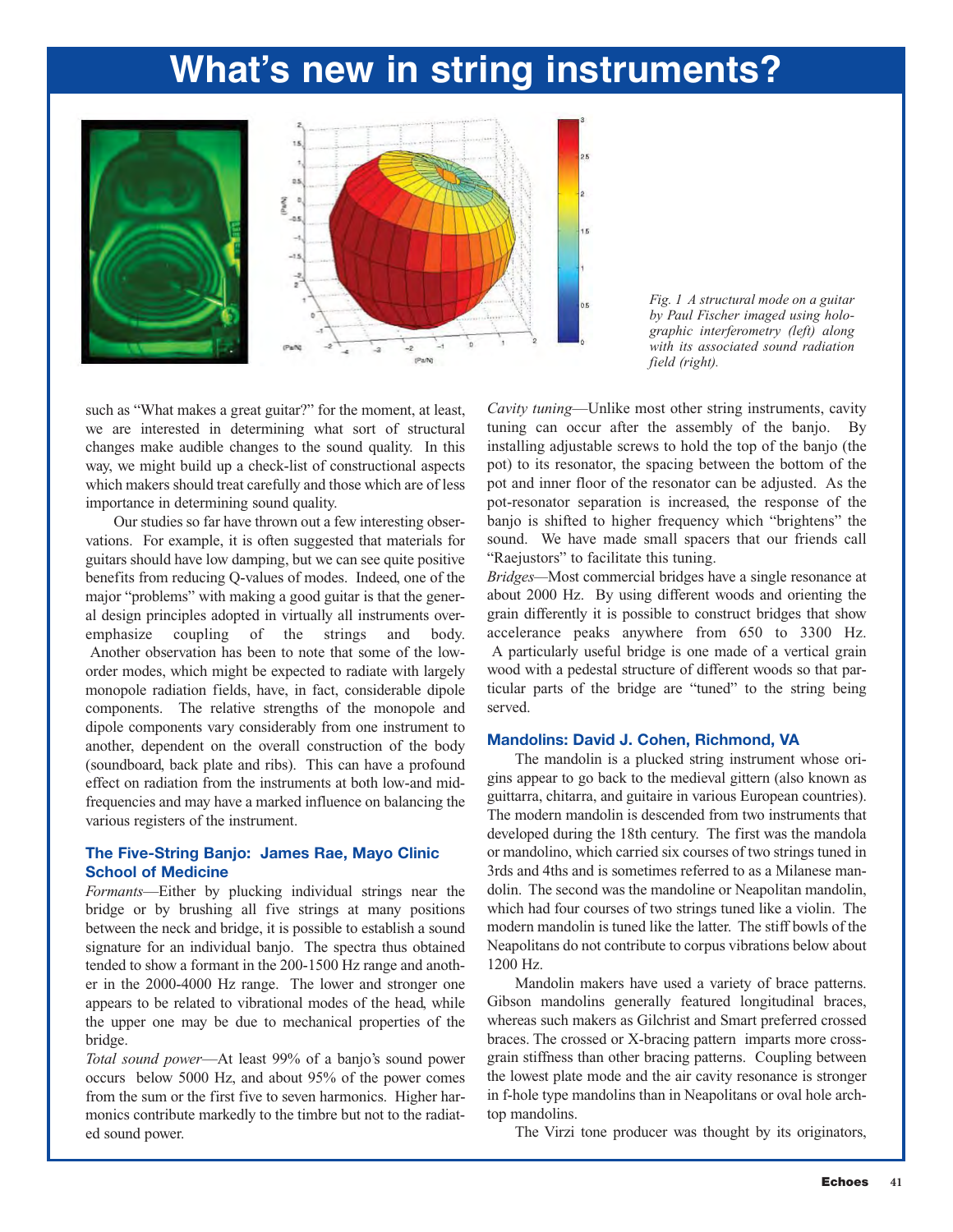



such as "What makes a great guitar?" for the moment, at least, we are interested in determining what sort of structural changes make audible changes to the sound quality. In this way, we might build up a check-list of constructional aspects which makers should treat carefully and those which are of less importance in determining sound quality.

Our studies so far have thrown out a few interesting observations. For example, it is often suggested that materials for guitars should have low damping, but we can see quite positive benefits from reducing Q-values of modes. Indeed, one of the major "problems" with making a good guitar is that the general design principles adopted in virtually all instruments overemphasize coupling of the strings and body. Another observation has been to note that some of the loworder modes, which might be expected to radiate with largely monopole radiation fields, have, in fact, considerable dipole components. The relative strengths of the monopole and dipole components vary considerably from one instrument to another, dependent on the overall construction of the body (soundboard, back plate and ribs). This can have a profound effect on radiation from the instruments at both low-and midfrequencies and may have a marked influence on balancing the various registers of the instrument.

#### **The Five-String Banjo: James Rae, Mayo Clinic School of Medicine**

*Formants*—Either by plucking individual strings near the bridge or by brushing all five strings at many positions between the neck and bridge, it is possible to establish a sound signature for an individual banjo. The spectra thus obtained tended to show a formant in the 200-1500 Hz range and another in the 2000-4000 Hz range. The lower and stronger one appears to be related to vibrational modes of the head, while the upper one may be due to mechanical properties of the bridge.

*Total sound power*—At least 99% of a banjo's sound power occurs below 5000 Hz, and about 95% of the power comes from the sum or the first five to seven harmonics. Higher harmonics contribute markedly to the timbre but not to the radiated sound power.

*Cavity tuning*—Unlike most other string instruments, cavity tuning can occur after the assembly of the banjo. By installing adjustable screws to hold the top of the banjo (the pot) to its resonator, the spacing between the bottom of the pot and inner floor of the resonator can be adjusted. As the pot-resonator separation is increased, the response of the banjo is shifted to higher frequency which "brightens" the sound. We have made small spacers that our friends call "Raejustors" to facilitate this tuning.

*Bridges—*Most commercial bridges have a single resonance at about 2000 Hz. By using different woods and orienting the grain differently it is possible to construct bridges that show accelerance peaks anywhere from 650 to 3300 Hz. A particularly useful bridge is one made of a vertical grain wood with a pedestal structure of different woods so that particular parts of the bridge are "tuned" to the string being served.

#### **Mandolins: David J. Cohen, Richmond, VA**

The mandolin is a plucked string instrument whose origins appear to go back to the medieval gittern (also known as guittarra, chitarra, and guitaire in various European countries). The modern mandolin is descended from two instruments that developed during the 18th century. The first was the mandola or mandolino, which carried six courses of two strings tuned in 3rds and 4ths and is sometimes referred to as a Milanese mandolin. The second was the mandoline or Neapolitan mandolin, which had four courses of two strings tuned like a violin. The modern mandolin is tuned like the latter. The stiff bowls of the Neapolitans do not contribute to corpus vibrations below about 1200 Hz.

Mandolin makers have used a variety of brace patterns. Gibson mandolins generally featured longitudinal braces, whereas such makers as Gilchrist and Smart preferred crossed braces. The crossed or X-bracing pattern imparts more crossgrain stiffness than other bracing patterns. Coupling between the lowest plate mode and the air cavity resonance is stronger in f-hole type mandolins than in Neapolitans or oval hole archtop mandolins.

The Virzi tone producer was thought by its originators,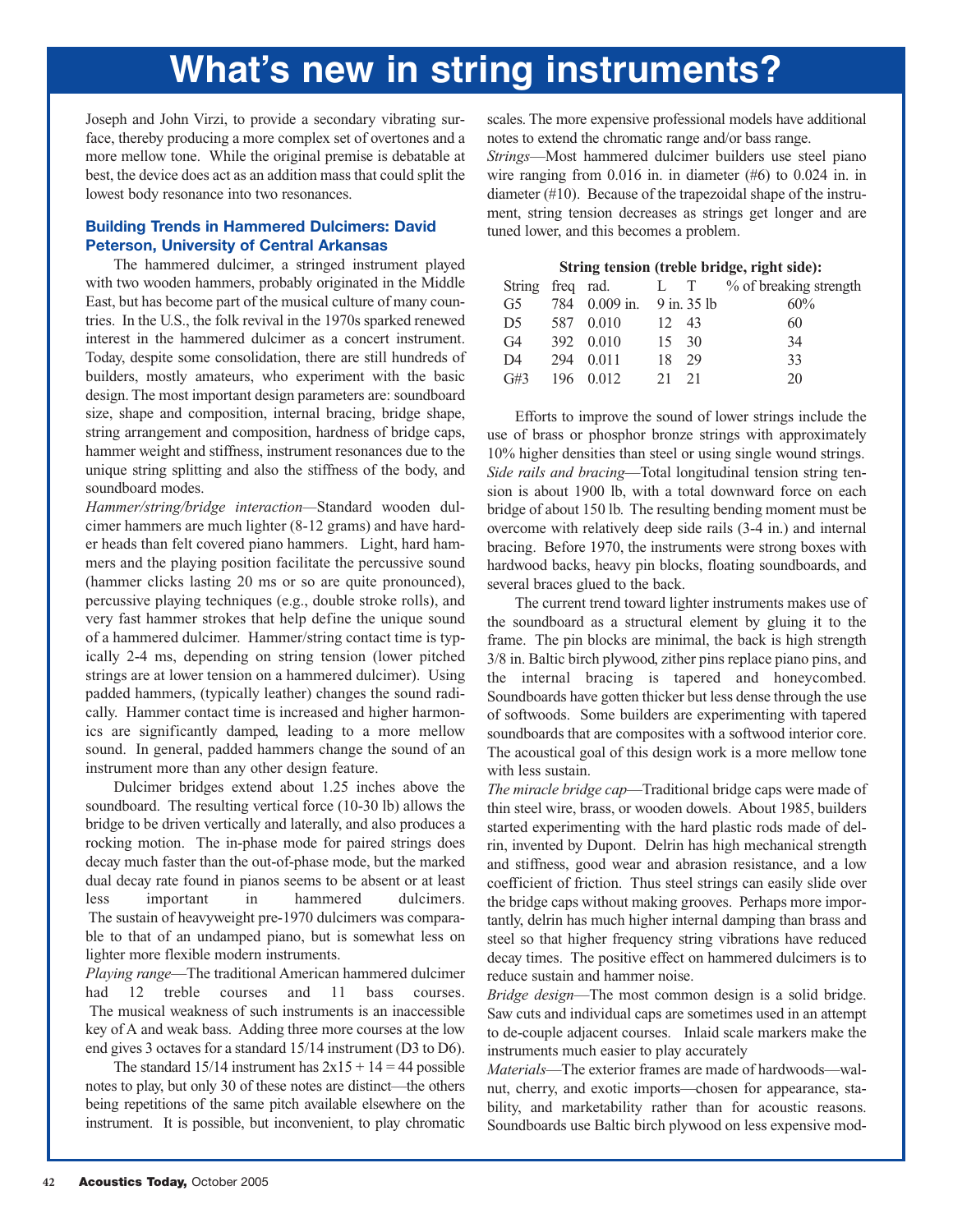Joseph and John Virzi, to provide a secondary vibrating surface, thereby producing a more complex set of overtones and a more mellow tone. While the original premise is debatable at best, the device does act as an addition mass that could split the lowest body resonance into two resonances.

#### **Building Trends in Hammered Dulcimers: David Peterson, University of Central Arkansas**

The hammered dulcimer, a stringed instrument played with two wooden hammers, probably originated in the Middle East, but has become part of the musical culture of many countries. In the U.S., the folk revival in the 1970s sparked renewed interest in the hammered dulcimer as a concert instrument. Today, despite some consolidation, there are still hundreds of builders, mostly amateurs, who experiment with the basic design. The most important design parameters are: soundboard size, shape and composition, internal bracing, bridge shape, string arrangement and composition, hardness of bridge caps, hammer weight and stiffness, instrument resonances due to the unique string splitting and also the stiffness of the body, and soundboard modes.

*Hammer/string/bridge interaction—*Standard wooden dulcimer hammers are much lighter (8-12 grams) and have harder heads than felt covered piano hammers. Light, hard hammers and the playing position facilitate the percussive sound (hammer clicks lasting 20 ms or so are quite pronounced), percussive playing techniques (e.g., double stroke rolls), and very fast hammer strokes that help define the unique sound of a hammered dulcimer. Hammer/string contact time is typically 2-4 ms, depending on string tension (lower pitched strings are at lower tension on a hammered dulcimer). Using padded hammers, (typically leather) changes the sound radically. Hammer contact time is increased and higher harmonics are significantly damped, leading to a more mellow sound. In general, padded hammers change the sound of an instrument more than any other design feature.

Dulcimer bridges extend about 1.25 inches above the soundboard. The resulting vertical force (10-30 lb) allows the bridge to be driven vertically and laterally, and also produces a rocking motion. The in-phase mode for paired strings does decay much faster than the out-of-phase mode, but the marked dual decay rate found in pianos seems to be absent or at least less important in hammered dulcimers. The sustain of heavyweight pre-1970 dulcimers was comparable to that of an undamped piano, but is somewhat less on lighter more flexible modern instruments.

*Playing range*—The traditional American hammered dulcimer had 12 treble courses and 11 bass courses. The musical weakness of such instruments is an inaccessible key of A and weak bass. Adding three more courses at the low end gives 3 octaves for a standard 15/14 instrument (D3 to D6).

The standard  $15/14$  instrument has  $2x15 + 14 = 44$  possible notes to play, but only 30 of these notes are distinct—the others being repetitions of the same pitch available elsewhere on the instrument. It is possible, but inconvenient, to play chromatic scales. The more expensive professional models have additional notes to extend the chromatic range and/or bass range.

*Strings*—Most hammered dulcimer builders use steel piano wire ranging from 0.016 in. in diameter (#6) to 0.024 in. in diameter (#10). Because of the trapezoidal shape of the instrument, string tension decreases as strings get longer and are tuned lower, and this becomes a problem.

| String tension (treble bridge, right side): |      |                         |    |                |                        |  |  |  |  |
|---------------------------------------------|------|-------------------------|----|----------------|------------------------|--|--|--|--|
| String                                      | freq | rad.                    | L  | T <sub>1</sub> | % of breaking strength |  |  |  |  |
| G5                                          | 784  | $0.009$ in. 9 in. 35 lb |    |                | 60%                    |  |  |  |  |
| D5                                          | 587  | 0.010                   | 12 | 43             | 60                     |  |  |  |  |
| G <sub>4</sub>                              | 392  | 0.010                   | 15 | 30             | 34                     |  |  |  |  |
| D4                                          | 294  | 0.011                   | 18 | 29             | 33                     |  |  |  |  |
| G#3                                         | 196  | 0.012                   | 21 | 21             | 20                     |  |  |  |  |

Efforts to improve the sound of lower strings include the use of brass or phosphor bronze strings with approximately 10% higher densities than steel or using single wound strings. *Side rails and bracing*—Total longitudinal tension string tension is about 1900 lb, with a total downward force on each bridge of about 150 lb. The resulting bending moment must be overcome with relatively deep side rails (3-4 in.) and internal bracing. Before 1970, the instruments were strong boxes with hardwood backs, heavy pin blocks, floating soundboards, and several braces glued to the back.

The current trend toward lighter instruments makes use of the soundboard as a structural element by gluing it to the frame. The pin blocks are minimal, the back is high strength 3/8 in. Baltic birch plywood, zither pins replace piano pins, and the internal bracing is tapered and honeycombed. Soundboards have gotten thicker but less dense through the use of softwoods. Some builders are experimenting with tapered soundboards that are composites with a softwood interior core. The acoustical goal of this design work is a more mellow tone with less sustain.

*The miracle bridge cap*—Traditional bridge caps were made of thin steel wire, brass, or wooden dowels. About 1985, builders started experimenting with the hard plastic rods made of delrin, invented by Dupont. Delrin has high mechanical strength and stiffness, good wear and abrasion resistance, and a low coefficient of friction. Thus steel strings can easily slide over the bridge caps without making grooves. Perhaps more importantly, delrin has much higher internal damping than brass and steel so that higher frequency string vibrations have reduced decay times. The positive effect on hammered dulcimers is to reduce sustain and hammer noise.

*Bridge design*—The most common design is a solid bridge. Saw cuts and individual caps are sometimes used in an attempt to de-couple adjacent courses. Inlaid scale markers make the instruments much easier to play accurately

*Materials*—The exterior frames are made of hardwoods—walnut, cherry, and exotic imports—chosen for appearance, stability, and marketability rather than for acoustic reasons. Soundboards use Baltic birch plywood on less expensive mod-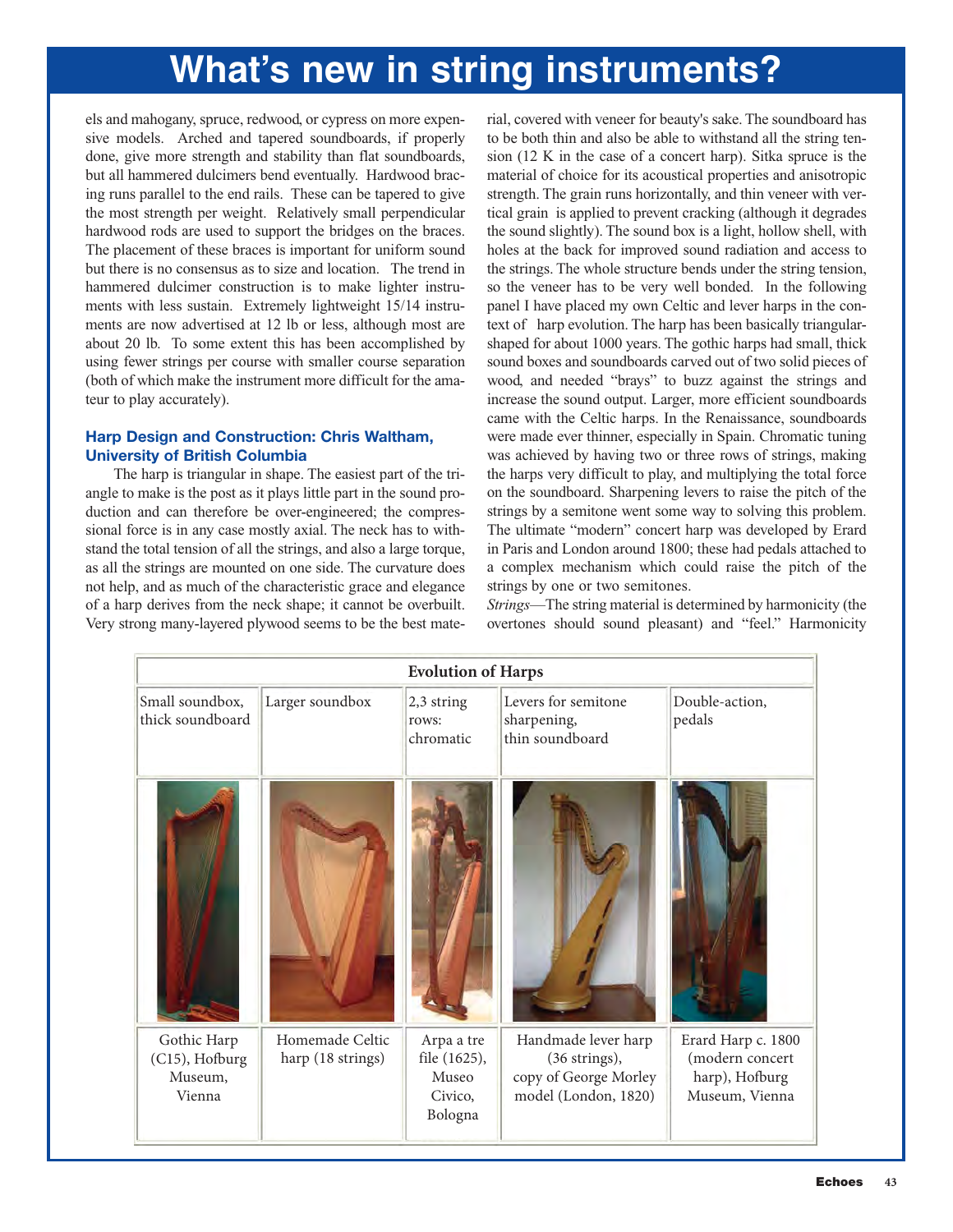els and mahogany, spruce, redwood, or cypress on more expensive models. Arched and tapered soundboards, if properly done, give more strength and stability than flat soundboards, but all hammered dulcimers bend eventually. Hardwood bracing runs parallel to the end rails. These can be tapered to give the most strength per weight. Relatively small perpendicular hardwood rods are used to support the bridges on the braces. The placement of these braces is important for uniform sound but there is no consensus as to size and location. The trend in hammered dulcimer construction is to make lighter instruments with less sustain. Extremely lightweight 15/14 instruments are now advertised at 12 lb or less, although most are about 20 lb. To some extent this has been accomplished by using fewer strings per course with smaller course separation (both of which make the instrument more difficult for the amateur to play accurately).

#### **Harp Design and Construction: Chris Waltham, University of British Columbia**

The harp is triangular in shape. The easiest part of the triangle to make is the post as it plays little part in the sound production and can therefore be over-engineered; the compressional force is in any case mostly axial. The neck has to withstand the total tension of all the strings, and also a large torque, as all the strings are mounted on one side. The curvature does not help, and as much of the characteristic grace and elegance of a harp derives from the neck shape; it cannot be overbuilt. Very strong many-layered plywood seems to be the best material, covered with veneer for beauty's sake. The soundboard has to be both thin and also be able to withstand all the string tension (12 K in the case of a concert harp). Sitka spruce is the material of choice for its acoustical properties and anisotropic strength. The grain runs horizontally, and thin veneer with vertical grain is applied to prevent cracking (although it degrades the sound slightly). The sound box is a light, hollow shell, with holes at the back for improved sound radiation and access to the strings. The whole structure bends under the string tension, so the veneer has to be very well bonded. In the following panel I have placed my own Celtic and lever harps in the context of harp evolution. The harp has been basically triangularshaped for about 1000 years. The gothic harps had small, thick sound boxes and soundboards carved out of two solid pieces of wood, and needed "brays" to buzz against the strings and increase the sound output. Larger, more efficient soundboards came with the Celtic harps. In the Renaissance, soundboards were made ever thinner, especially in Spain. Chromatic tuning was achieved by having two or three rows of strings, making the harps very difficult to play, and multiplying the total force on the soundboard. Sharpening levers to raise the pitch of the strings by a semitone went some way to solving this problem. The ultimate "modern" concert harp was developed by Erard in Paris and London around 1800; these had pedals attached to a complex mechanism which could raise the pitch of the strings by one or two semitones.

*Strings*—The string material is determined by harmonicity (the overtones should sound pleasant) and "feel." Harmonicity

| <b>Evolution of Harps</b>                          |                                      |                                                           |                                                                                                 |                                                                           |  |  |  |  |
|----------------------------------------------------|--------------------------------------|-----------------------------------------------------------|-------------------------------------------------------------------------------------------------|---------------------------------------------------------------------------|--|--|--|--|
| Small soundbox,<br>thick soundboard                | Larger soundbox                      | 2,3 string<br>rows:<br>chromatic                          | Levers for semitone<br>sharpening,<br>thin soundboard                                           | Double-action,<br>pedals                                                  |  |  |  |  |
|                                                    |                                      |                                                           |                                                                                                 |                                                                           |  |  |  |  |
| Gothic Harp<br>(C15), Hofburg<br>Museum,<br>Vienna | Homemade Celtic<br>harp (18 strings) | Arpa a tre<br>file (1625),<br>Museo<br>Civico,<br>Bologna | Handmade lever harp<br>$(36 \text{ strings}),$<br>copy of George Morley<br>model (London, 1820) | Erard Harp c. 1800<br>(modern concert<br>harp), Hofburg<br>Museum, Vienna |  |  |  |  |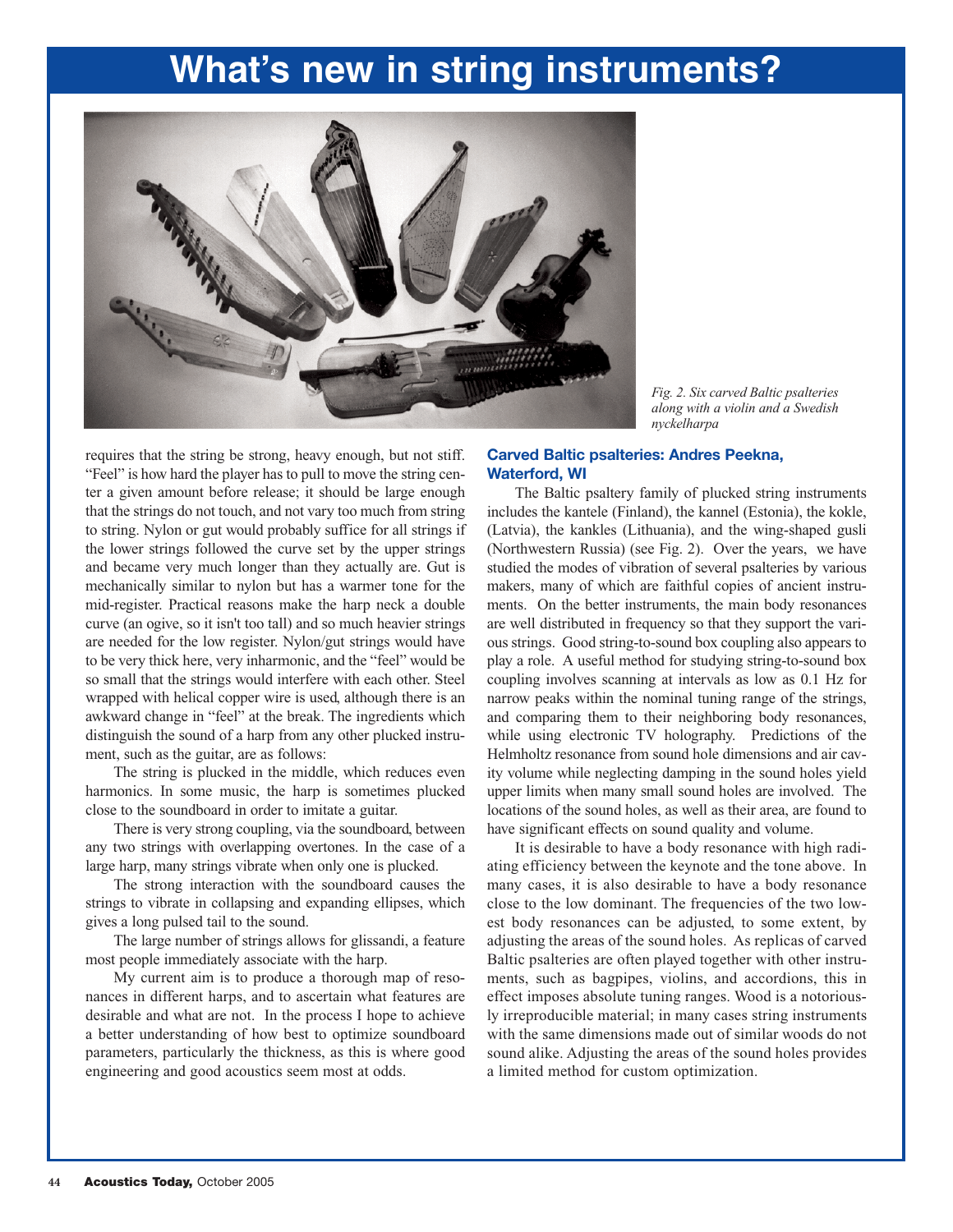

*Fig. 2. Six carved Baltic psalteries along with a violin and a Swedish nyckelharpa*

requires that the string be strong, heavy enough, but not stiff. "Feel" is how hard the player has to pull to move the string center a given amount before release; it should be large enough that the strings do not touch, and not vary too much from string to string. Nylon or gut would probably suffice for all strings if the lower strings followed the curve set by the upper strings and became very much longer than they actually are. Gut is mechanically similar to nylon but has a warmer tone for the mid-register. Practical reasons make the harp neck a double curve (an ogive, so it isn't too tall) and so much heavier strings are needed for the low register. Nylon/gut strings would have to be very thick here, very inharmonic, and the "feel" would be so small that the strings would interfere with each other. Steel wrapped with helical copper wire is used, although there is an awkward change in "feel" at the break. The ingredients which distinguish the sound of a harp from any other plucked instrument, such as the guitar, are as follows:

The string is plucked in the middle, which reduces even harmonics. In some music, the harp is sometimes plucked close to the soundboard in order to imitate a guitar.

There is very strong coupling, via the soundboard, between any two strings with overlapping overtones. In the case of a large harp, many strings vibrate when only one is plucked.

The strong interaction with the soundboard causes the strings to vibrate in collapsing and expanding ellipses, which gives a long pulsed tail to the sound.

The large number of strings allows for glissandi, a feature most people immediately associate with the harp.

My current aim is to produce a thorough map of resonances in different harps, and to ascertain what features are desirable and what are not. In the process I hope to achieve a better understanding of how best to optimize soundboard parameters, particularly the thickness, as this is where good engineering and good acoustics seem most at odds.

#### **Carved Baltic psalteries: Andres Peekna, Waterford, WI**

The Baltic psaltery family of plucked string instruments includes the kantele (Finland), the kannel (Estonia), the kokle, (Latvia), the kankles (Lithuania), and the wing-shaped gusli (Northwestern Russia) (see Fig. 2). Over the years, we have studied the modes of vibration of several psalteries by various makers, many of which are faithful copies of ancient instruments. On the better instruments, the main body resonances are well distributed in frequency so that they support the various strings. Good string-to-sound box coupling also appears to play a role. A useful method for studying string-to-sound box coupling involves scanning at intervals as low as 0.1 Hz for narrow peaks within the nominal tuning range of the strings, and comparing them to their neighboring body resonances, while using electronic TV holography. Predictions of the Helmholtz resonance from sound hole dimensions and air cavity volume while neglecting damping in the sound holes yield upper limits when many small sound holes are involved. The locations of the sound holes, as well as their area, are found to have significant effects on sound quality and volume.

It is desirable to have a body resonance with high radiating efficiency between the keynote and the tone above. In many cases, it is also desirable to have a body resonance close to the low dominant. The frequencies of the two lowest body resonances can be adjusted, to some extent, by adjusting the areas of the sound holes. As replicas of carved Baltic psalteries are often played together with other instruments, such as bagpipes, violins, and accordions, this in effect imposes absolute tuning ranges. Wood is a notoriously irreproducible material; in many cases string instruments with the same dimensions made out of similar woods do not sound alike. Adjusting the areas of the sound holes provides a limited method for custom optimization.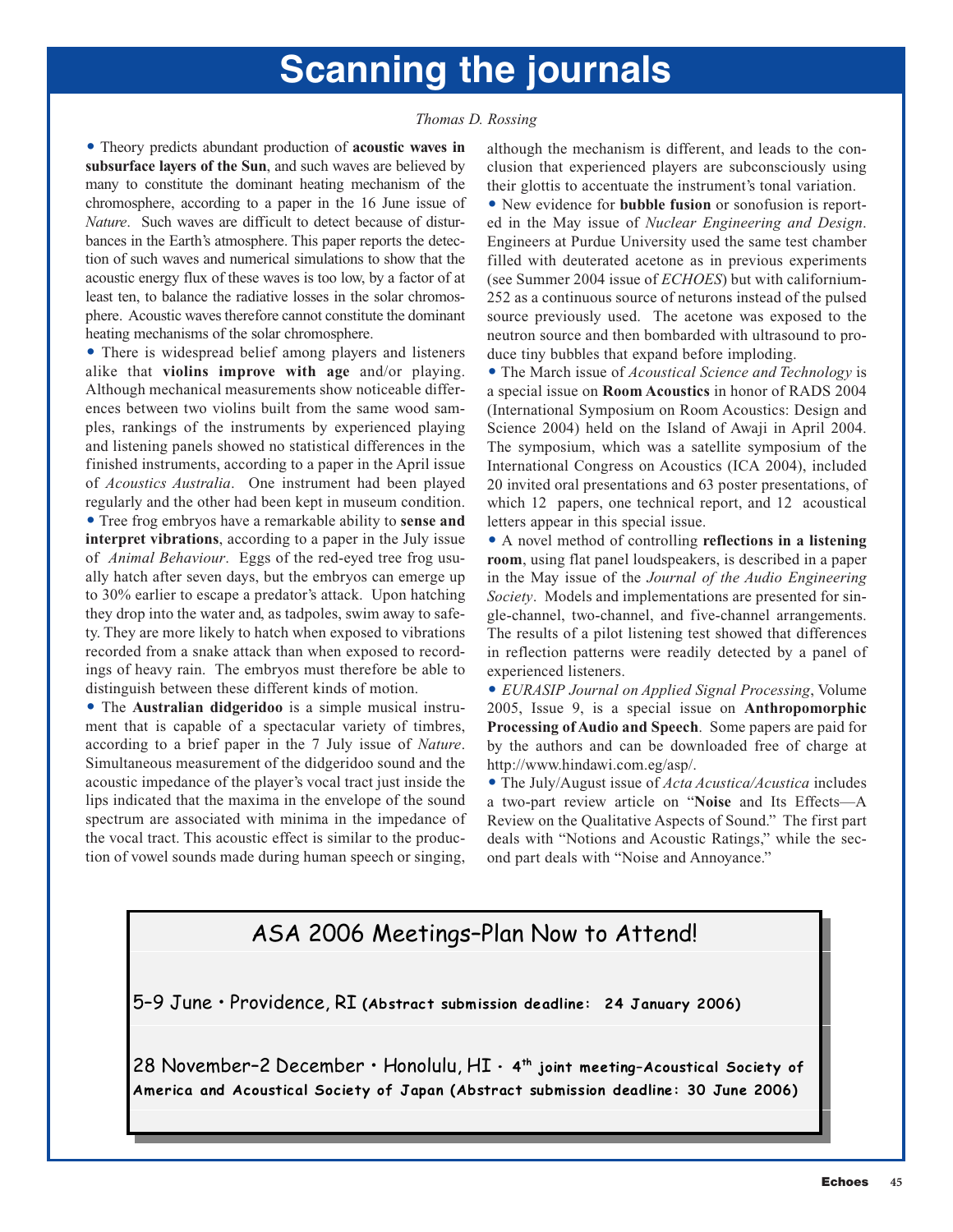# **Scanning the journals**

#### *Thomas D. Rossing*

- Theory predicts abundant production of **acoustic waves in subsurface layers of the Sun**, and such waves are believed by many to constitute the dominant heating mechanism of the chromosphere, according to a paper in the 16 June issue of *Nature*. Such waves are difficult to detect because of disturbances in the Earth's atmosphere. This paper reports the detection of such waves and numerical simulations to show that the acoustic energy flux of these waves is too low, by a factor of at least ten, to balance the radiative losses in the solar chromosphere. Acoustic waves therefore cannot constitute the dominant heating mechanisms of the solar chromosphere.

- There is widespread belief among players and listeners alike that **violins improve with age** and/or playing. Although mechanical measurements show noticeable differences between two violins built from the same wood samples, rankings of the instruments by experienced playing and listening panels showed no statistical differences in the finished instruments, according to a paper in the April issue of *Acoustics Australia*. One instrument had been played regularly and the other had been kept in museum condition. - Tree frog embryos have a remarkable ability to **sense and interpret vibrations**, according to a paper in the July issue of *Animal Behaviour*. Eggs of the red-eyed tree frog usually hatch after seven days, but the embryos can emerge up to 30% earlier to escape a predator's attack. Upon hatching they drop into the water and, as tadpoles, swim away to safety. They are more likely to hatch when exposed to vibrations recorded from a snake attack than when exposed to recordings of heavy rain. The embryos must therefore be able to distinguish between these different kinds of motion.

- The **Australian didgeridoo** is a simple musical instrument that is capable of a spectacular variety of timbres, according to a brief paper in the 7 July issue of *Nature*. Simultaneous measurement of the didgeridoo sound and the acoustic impedance of the player's vocal tract just inside the lips indicated that the maxima in the envelope of the sound spectrum are associated with minima in the impedance of the vocal tract. This acoustic effect is similar to the production of vowel sounds made during human speech or singing,

although the mechanism is different, and leads to the conclusion that experienced players are subconsciously using their glottis to accentuate the instrument's tonal variation.

- New evidence for **bubble fusion** or sonofusion is reported in the May issue of *Nuclear Engineering and Design*. Engineers at Purdue University used the same test chamber filled with deuterated acetone as in previous experiments (see Summer 2004 issue of *ECHOES*) but with californium-252 as a continuous source of neturons instead of the pulsed source previously used. The acetone was exposed to the neutron source and then bombarded with ultrasound to produce tiny bubbles that expand before imploding.

- The March issue of *Acoustical Science and Technology* is a special issue on **Room Acoustics** in honor of RADS 2004 (International Symposium on Room Acoustics: Design and Science 2004) held on the Island of Awaji in April 2004. The symposium, which was a satellite symposium of the International Congress on Acoustics (ICA 2004), included 20 invited oral presentations and 63 poster presentations, of which 12 papers, one technical report, and 12 acoustical letters appear in this special issue.

- A novel method of controlling **reflections in a listening room**, using flat panel loudspeakers, is described in a paper in the May issue of the *Journal of the Audio Engineering Society*. Models and implementations are presented for single-channel, two-channel, and five-channel arrangements. The results of a pilot listening test showed that differences in reflection patterns were readily detected by a panel of experienced listeners.

- *EURASIP Journal on Applied Signal Processing*, Volume 2005, Issue 9, is a special issue on **Anthropomorphic Processing of Audio and Speech**. Some papers are paid for by the authors and can be downloaded free of charge at [http://www.hindawi.com.eg/asp/.](http://www.hindawi.com.eg/asp/)

- The July/August issue of *Acta Acustica/Acustica* includes a two-part review article on "**Noise** and Its Effects—A Review on the Qualitative Aspects of Sound." The first part deals with "Notions and Acoustic Ratings," while the second part deals with "Noise and Annoyance."

### ASA 2006 Meetings–Plan Now to Attend!

5–9 June • Providence, RI **(Abstract submission deadline: 24 January 2006)** 

28 November–2 December • Honolulu, HI **• 4th joint meeting–Acoustical Society of America and Acoustical Society of Japan (Abstract submission deadline: 30 June 2006)**